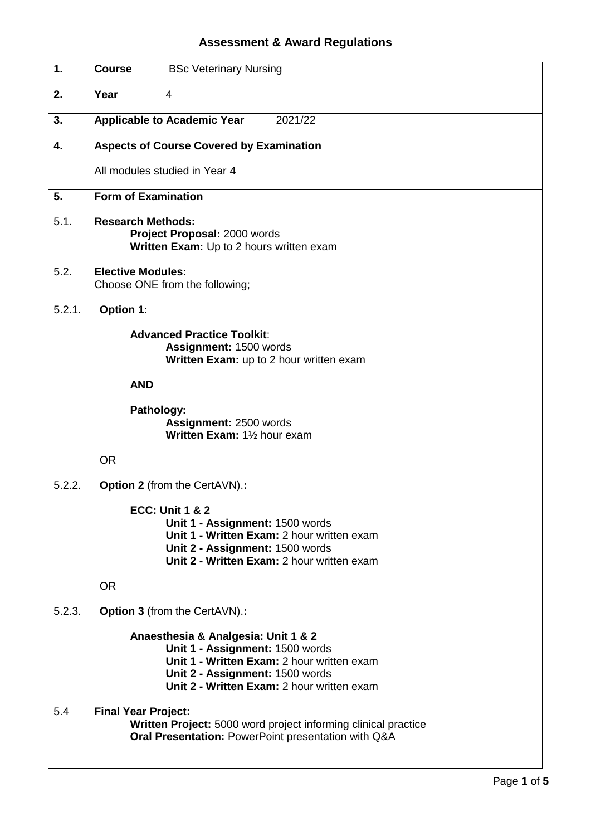## **Assessment & Award Regulations**

| 1.     | <b>BSc Veterinary Nursing</b><br><b>Course</b>                                                                                                                                                        |
|--------|-------------------------------------------------------------------------------------------------------------------------------------------------------------------------------------------------------|
| 2.     | Year<br>4                                                                                                                                                                                             |
| 3.     | <b>Applicable to Academic Year</b><br>2021/22                                                                                                                                                         |
| 4.     | <b>Aspects of Course Covered by Examination</b>                                                                                                                                                       |
|        | All modules studied in Year 4                                                                                                                                                                         |
| 5.     | <b>Form of Examination</b>                                                                                                                                                                            |
| 5.1.   | <b>Research Methods:</b><br>Project Proposal: 2000 words<br>Written Exam: Up to 2 hours written exam                                                                                                  |
| 5.2.   | <b>Elective Modules:</b><br>Choose ONE from the following;                                                                                                                                            |
| 5.2.1. | Option 1:                                                                                                                                                                                             |
|        | <b>Advanced Practice Toolkit:</b><br>Assignment: 1500 words<br>Written Exam: up to 2 hour written exam                                                                                                |
|        | <b>AND</b>                                                                                                                                                                                            |
|        | Pathology:<br>Assignment: 2500 words<br>Written Exam: 11/2 hour exam                                                                                                                                  |
|        | <b>OR</b>                                                                                                                                                                                             |
| 5.2.2. | <b>Option 2</b> (from the CertAVN).:                                                                                                                                                                  |
|        | <b>ECC: Unit 1 &amp; 2</b><br>Unit 1 - Assignment: 1500 words<br>Unit 1 - Written Exam: 2 hour written exam<br>Unit 2 - Assignment: 1500 words<br>Unit 2 - Written Exam: 2 hour written exam          |
|        | <b>OR</b>                                                                                                                                                                                             |
| 5.2.3. | <b>Option 3</b> (from the CertAVN).:                                                                                                                                                                  |
|        | Anaesthesia & Analgesia: Unit 1 & 2<br>Unit 1 - Assignment: 1500 words<br>Unit 1 - Written Exam: 2 hour written exam<br>Unit 2 - Assignment: 1500 words<br>Unit 2 - Written Exam: 2 hour written exam |
| 5.4    | <b>Final Year Project:</b><br>Written Project: 5000 word project informing clinical practice<br>Oral Presentation: PowerPoint presentation with Q&A                                                   |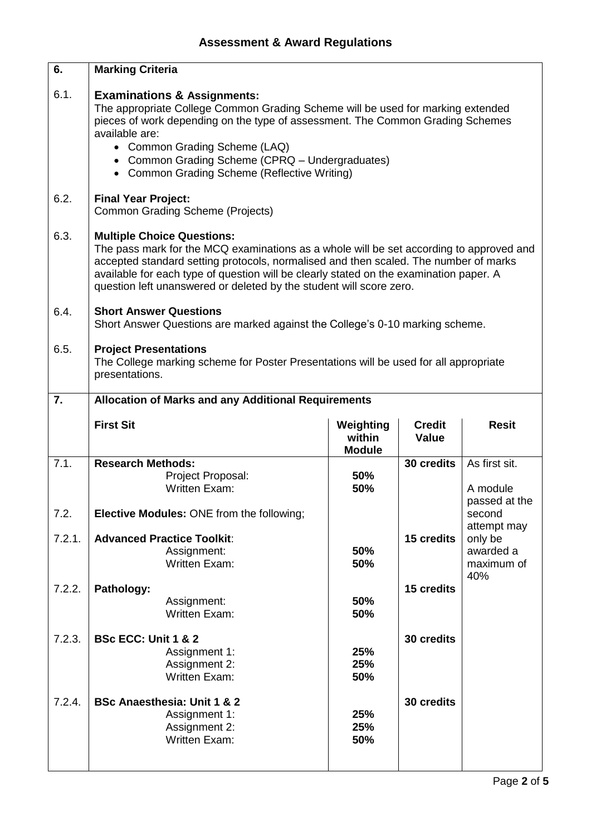| 6.               | <b>Marking Criteria</b>                                                                                                                                                                                                                                                                                                                                                               |                     |                               |                                                   |
|------------------|---------------------------------------------------------------------------------------------------------------------------------------------------------------------------------------------------------------------------------------------------------------------------------------------------------------------------------------------------------------------------------------|---------------------|-------------------------------|---------------------------------------------------|
| 6.1.             | <b>Examinations &amp; Assignments:</b><br>The appropriate College Common Grading Scheme will be used for marking extended<br>pieces of work depending on the type of assessment. The Common Grading Schemes<br>available are:<br>• Common Grading Scheme (LAQ)<br>• Common Grading Scheme (CPRQ - Undergraduates)<br>• Common Grading Scheme (Reflective Writing)                     |                     |                               |                                                   |
| 6.2.             | <b>Final Year Project:</b><br><b>Common Grading Scheme (Projects)</b>                                                                                                                                                                                                                                                                                                                 |                     |                               |                                                   |
| 6.3.             | <b>Multiple Choice Questions:</b><br>The pass mark for the MCQ examinations as a whole will be set according to approved and<br>accepted standard setting protocols, normalised and then scaled. The number of marks<br>available for each type of question will be clearly stated on the examination paper. A<br>question left unanswered or deleted by the student will score zero. |                     |                               |                                                   |
| 6.4.             | <b>Short Answer Questions</b><br>Short Answer Questions are marked against the College's 0-10 marking scheme.                                                                                                                                                                                                                                                                         |                     |                               |                                                   |
| 6.5.             | <b>Project Presentations</b><br>The College marking scheme for Poster Presentations will be used for all appropriate<br>presentations.                                                                                                                                                                                                                                                |                     |                               |                                                   |
| 7.               | <b>Allocation of Marks and any Additional Requirements</b>                                                                                                                                                                                                                                                                                                                            |                     |                               |                                                   |
|                  |                                                                                                                                                                                                                                                                                                                                                                                       |                     |                               |                                                   |
|                  | <b>First Sit</b>                                                                                                                                                                                                                                                                                                                                                                      | Weighting<br>within | <b>Credit</b><br><b>Value</b> | <b>Resit</b>                                      |
| $7.\overline{1}$ | <b>Research Methods:</b>                                                                                                                                                                                                                                                                                                                                                              | <b>Module</b>       | 30 credits                    | As first sit.                                     |
|                  | Project Proposal:<br><b>Written Exam:</b>                                                                                                                                                                                                                                                                                                                                             | 50%<br>50%          |                               | A module<br>passed at the                         |
| 7.2.             | Elective Modules: ONE from the following;                                                                                                                                                                                                                                                                                                                                             |                     |                               | second                                            |
| 7.2.1.           | <b>Advanced Practice Toolkit:</b><br>Assignment:<br><b>Written Exam:</b>                                                                                                                                                                                                                                                                                                              | 50%<br>50%          | 15 credits                    | attempt may<br>only be<br>awarded a<br>maximum of |
| 7.2.2.           | Pathology:<br>Assignment:<br><b>Written Exam:</b>                                                                                                                                                                                                                                                                                                                                     | 50%<br>50%          | 15 credits                    | 40%                                               |
| 7.2.3.           | <b>BSc ECC: Unit 1 &amp; 2</b><br>Assignment 1:<br>Assignment 2:<br><b>Written Exam:</b>                                                                                                                                                                                                                                                                                              | 25%<br>25%<br>50%   | 30 credits                    |                                                   |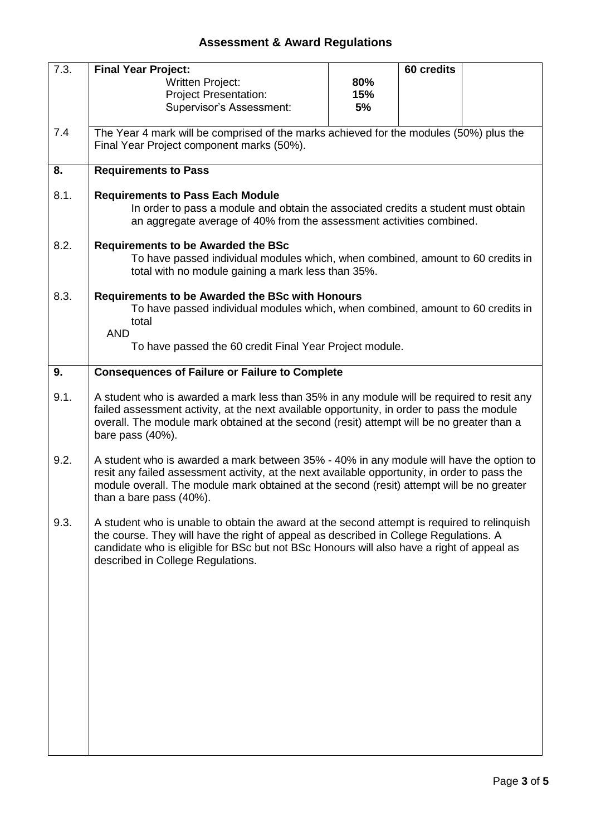## **Assessment & Award Regulations**

| 7.3. | <b>Final Year Project:</b>                                                                    |     | 60 credits |  |  |
|------|-----------------------------------------------------------------------------------------------|-----|------------|--|--|
|      | <b>Written Project:</b>                                                                       | 80% |            |  |  |
|      | <b>Project Presentation:</b>                                                                  | 15% |            |  |  |
|      | <b>Supervisor's Assessment:</b>                                                               | 5%  |            |  |  |
|      |                                                                                               |     |            |  |  |
| 7.4  | The Year 4 mark will be comprised of the marks achieved for the modules (50%) plus the        |     |            |  |  |
|      | Final Year Project component marks (50%).                                                     |     |            |  |  |
|      |                                                                                               |     |            |  |  |
| 8.   | <b>Requirements to Pass</b>                                                                   |     |            |  |  |
|      |                                                                                               |     |            |  |  |
| 8.1. | <b>Requirements to Pass Each Module</b>                                                       |     |            |  |  |
|      | In order to pass a module and obtain the associated credits a student must obtain             |     |            |  |  |
|      | an aggregate average of 40% from the assessment activities combined.                          |     |            |  |  |
|      |                                                                                               |     |            |  |  |
| 8.2. | <b>Requirements to be Awarded the BSc</b>                                                     |     |            |  |  |
|      | To have passed individual modules which, when combined, amount to 60 credits in               |     |            |  |  |
|      | total with no module gaining a mark less than 35%.                                            |     |            |  |  |
|      |                                                                                               |     |            |  |  |
| 8.3. | Requirements to be Awarded the BSc with Honours                                               |     |            |  |  |
|      | To have passed individual modules which, when combined, amount to 60 credits in               |     |            |  |  |
|      | total                                                                                         |     |            |  |  |
|      | <b>AND</b>                                                                                    |     |            |  |  |
|      |                                                                                               |     |            |  |  |
|      | To have passed the 60 credit Final Year Project module.                                       |     |            |  |  |
|      |                                                                                               |     |            |  |  |
| 9.   | <b>Consequences of Failure or Failure to Complete</b>                                         |     |            |  |  |
|      |                                                                                               |     |            |  |  |
| 9.1. | A student who is awarded a mark less than 35% in any module will be required to resit any     |     |            |  |  |
|      | failed assessment activity, at the next available opportunity, in order to pass the module    |     |            |  |  |
|      | overall. The module mark obtained at the second (resit) attempt will be no greater than a     |     |            |  |  |
|      | bare pass (40%).                                                                              |     |            |  |  |
|      |                                                                                               |     |            |  |  |
| 9.2. | A student who is awarded a mark between 35% - 40% in any module will have the option to       |     |            |  |  |
|      | resit any failed assessment activity, at the next available opportunity, in order to pass the |     |            |  |  |
|      | module overall. The module mark obtained at the second (resit) attempt will be no greater     |     |            |  |  |
|      | than a bare pass (40%).                                                                       |     |            |  |  |
|      |                                                                                               |     |            |  |  |
| 9.3. | A student who is unable to obtain the award at the second attempt is required to relinguish   |     |            |  |  |
|      | the course. They will have the right of appeal as described in College Regulations. A         |     |            |  |  |
|      | candidate who is eligible for BSc but not BSc Honours will also have a right of appeal as     |     |            |  |  |
|      | described in College Regulations.                                                             |     |            |  |  |
|      |                                                                                               |     |            |  |  |
|      |                                                                                               |     |            |  |  |
|      |                                                                                               |     |            |  |  |
|      |                                                                                               |     |            |  |  |
|      |                                                                                               |     |            |  |  |
|      |                                                                                               |     |            |  |  |
|      |                                                                                               |     |            |  |  |
|      |                                                                                               |     |            |  |  |
|      |                                                                                               |     |            |  |  |
|      |                                                                                               |     |            |  |  |
|      |                                                                                               |     |            |  |  |
|      |                                                                                               |     |            |  |  |
|      |                                                                                               |     |            |  |  |
|      |                                                                                               |     |            |  |  |
|      |                                                                                               |     |            |  |  |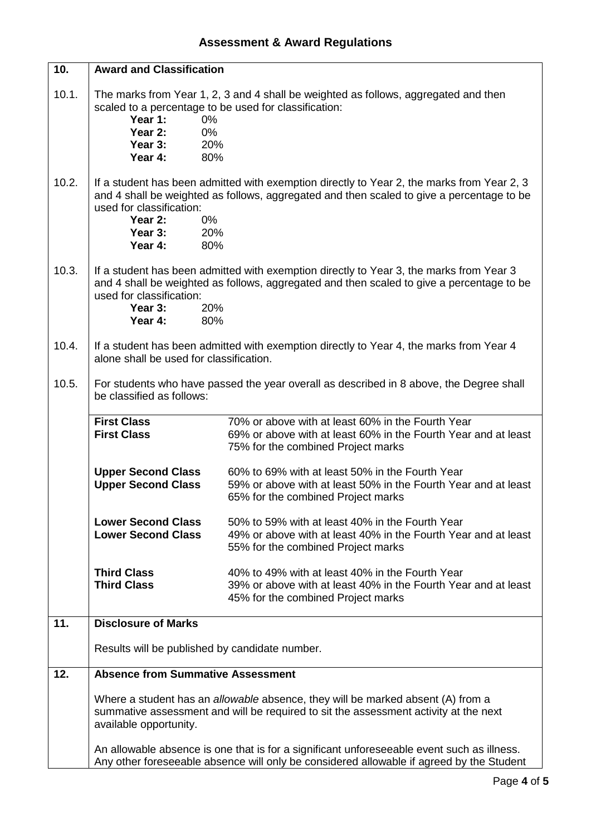| 10.   | <b>Award and Classification</b>                                                                                                                                                                   |                                                                                                                                                                                         |  |  |
|-------|---------------------------------------------------------------------------------------------------------------------------------------------------------------------------------------------------|-----------------------------------------------------------------------------------------------------------------------------------------------------------------------------------------|--|--|
| 10.1. | scaled to a percentage to be used for classification:<br>Year 1:<br>$0\%$<br>Year 2:<br>0%<br>Year 3:<br>20%<br>Year 4:<br>80%                                                                    | The marks from Year 1, 2, 3 and 4 shall be weighted as follows, aggregated and then                                                                                                     |  |  |
| 10.2. | used for classification:<br>Year 2:<br>$0\%$<br>Year 3:<br>20%<br>Year 4:<br>80%                                                                                                                  | If a student has been admitted with exemption directly to Year 2, the marks from Year 2, 3<br>and 4 shall be weighted as follows, aggregated and then scaled to give a percentage to be |  |  |
| 10.3. | used for classification:<br>Year 3:<br>20%<br>Year 4:<br>80%                                                                                                                                      | If a student has been admitted with exemption directly to Year 3, the marks from Year 3<br>and 4 shall be weighted as follows, aggregated and then scaled to give a percentage to be    |  |  |
| 10.4. | alone shall be used for classification.                                                                                                                                                           | If a student has been admitted with exemption directly to Year 4, the marks from Year 4                                                                                                 |  |  |
| 10.5. | For students who have passed the year overall as described in 8 above, the Degree shall<br>be classified as follows:                                                                              |                                                                                                                                                                                         |  |  |
|       | <b>First Class</b><br><b>First Class</b>                                                                                                                                                          | 70% or above with at least 60% in the Fourth Year<br>69% or above with at least 60% in the Fourth Year and at least<br>75% for the combined Project marks                               |  |  |
|       | <b>Upper Second Class</b><br><b>Upper Second Class</b>                                                                                                                                            | 60% to 69% with at least 50% in the Fourth Year<br>59% or above with at least 50% in the Fourth Year and at least<br>65% for the combined Project marks                                 |  |  |
|       | <b>Lower Second Class</b><br><b>Lower Second Class</b>                                                                                                                                            | 50% to 59% with at least 40% in the Fourth Year<br>49% or above with at least 40% in the Fourth Year and at least<br>55% for the combined Project marks                                 |  |  |
|       | <b>Third Class</b><br><b>Third Class</b>                                                                                                                                                          | 40% to 49% with at least 40% in the Fourth Year<br>39% or above with at least 40% in the Fourth Year and at least<br>45% for the combined Project marks                                 |  |  |
| 11.   | <b>Disclosure of Marks</b>                                                                                                                                                                        |                                                                                                                                                                                         |  |  |
|       | Results will be published by candidate number.                                                                                                                                                    |                                                                                                                                                                                         |  |  |
| 12.   | <b>Absence from Summative Assessment</b>                                                                                                                                                          |                                                                                                                                                                                         |  |  |
|       | Where a student has an allowable absence, they will be marked absent (A) from a<br>summative assessment and will be required to sit the assessment activity at the next<br>available opportunity. |                                                                                                                                                                                         |  |  |
|       |                                                                                                                                                                                                   | An allowable absence is one that is for a significant unforeseeable event such as illness.<br>Any other foreseeable absence will only be considered allowable if agreed by the Student  |  |  |